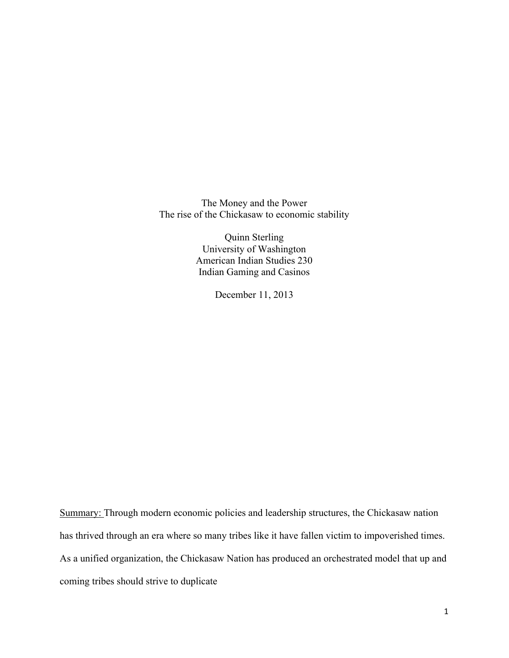The Money and the Power The rise of the Chickasaw to economic stability

> Quinn Sterling University of Washington American Indian Studies 230 Indian Gaming and Casinos

> > December 11, 2013

Summary: Through modern economic policies and leadership structures, the Chickasaw nation has thrived through an era where so many tribes like it have fallen victim to impoverished times. As a unified organization, the Chickasaw Nation has produced an orchestrated model that up and coming tribes should strive to duplicate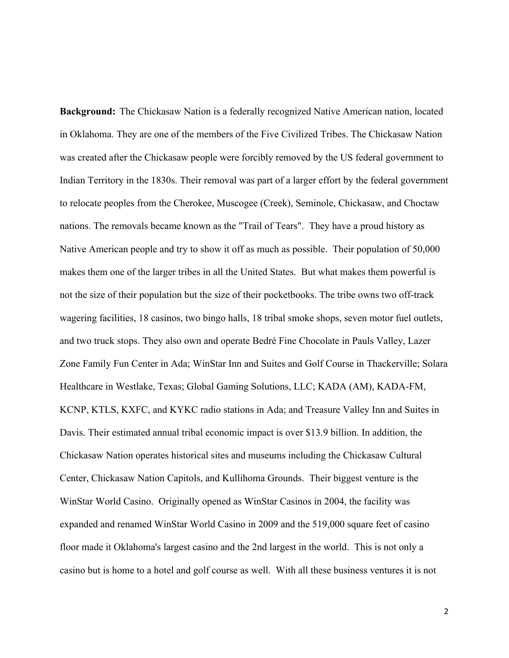**Background:** The Chickasaw Nation is a federally recognized Native American nation, located in Oklahoma. They are one of the members of the Five Civilized Tribes. The Chickasaw Nation was created after the Chickasaw people were forcibly removed by the US federal government to Indian Territory in the 1830s. Their removal was part of a larger effort by the federal government to relocate peoples from the Cherokee, Muscogee (Creek), Seminole, Chickasaw, and Choctaw nations. The removals became known as the "Trail of Tears". They have a proud history as Native American people and try to show it off as much as possible. Their population of 50,000 makes them one of the larger tribes in all the United States. But what makes them powerful is not the size of their population but the size of their pocketbooks. The tribe owns two off-track wagering facilities, 18 casinos, two bingo halls, 18 tribal smoke shops, seven motor fuel outlets, and two truck stops. They also own and operate Bedré Fine Chocolate in Pauls Valley, Lazer Zone Family Fun Center in Ada; WinStar Inn and Suites and Golf Course in Thackerville; Solara Healthcare in Westlake, Texas; Global Gaming Solutions, LLC; KADA (AM), KADA-FM, KCNP, KTLS, KXFC, and KYKC radio stations in Ada; and Treasure Valley Inn and Suites in Davis. Their estimated annual tribal economic impact is over \$13.9 billion. In addition, the Chickasaw Nation operates historical sites and museums including the Chickasaw Cultural Center, Chickasaw Nation Capitols, and Kullihoma Grounds. Their biggest venture is the WinStar World Casino. Originally opened as WinStar Casinos in 2004, the facility was expanded and renamed WinStar World Casino in 2009 and the 519,000 square feet of casino floor made it Oklahoma's largest casino and the 2nd largest in the world. This is not only a casino but is home to a hotel and golf course as well. With all these business ventures it is not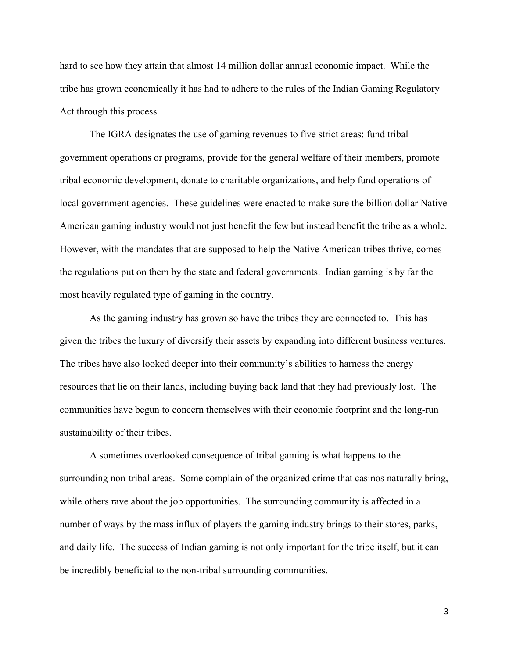hard to see how they attain that almost 14 million dollar annual economic impact. While the tribe has grown economically it has had to adhere to the rules of the Indian Gaming Regulatory Act through this process.

The IGRA designates the use of gaming revenues to five strict areas: fund tribal government operations or programs, provide for the general welfare of their members, promote tribal economic development, donate to charitable organizations, and help fund operations of local government agencies. These guidelines were enacted to make sure the billion dollar Native American gaming industry would not just benefit the few but instead benefit the tribe as a whole. However, with the mandates that are supposed to help the Native American tribes thrive, comes the regulations put on them by the state and federal governments. Indian gaming is by far the most heavily regulated type of gaming in the country.

As the gaming industry has grown so have the tribes they are connected to. This has given the tribes the luxury of diversify their assets by expanding into different business ventures. The tribes have also looked deeper into their community's abilities to harness the energy resources that lie on their lands, including buying back land that they had previously lost. The communities have begun to concern themselves with their economic footprint and the long-run sustainability of their tribes.

A sometimes overlooked consequence of tribal gaming is what happens to the surrounding non-tribal areas. Some complain of the organized crime that casinos naturally bring, while others rave about the job opportunities. The surrounding community is affected in a number of ways by the mass influx of players the gaming industry brings to their stores, parks, and daily life. The success of Indian gaming is not only important for the tribe itself, but it can be incredibly beneficial to the non-tribal surrounding communities.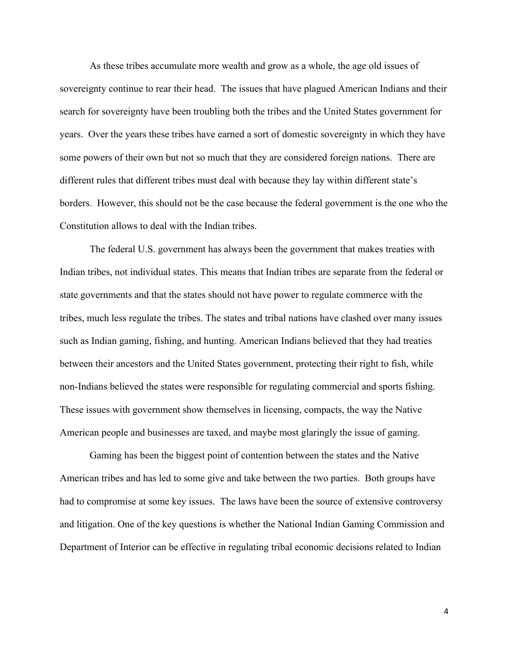As these tribes accumulate more wealth and grow as a whole, the age old issues of sovereignty continue to rear their head. The issues that have plagued American Indians and their search for sovereignty have been troubling both the tribes and the United States government for years. Over the years these tribes have earned a sort of domestic sovereignty in which they have some powers of their own but not so much that they are considered foreign nations. There are different rules that different tribes must deal with because they lay within different state's borders. However, this should not be the case because the federal government is the one who the Constitution allows to deal with the Indian tribes.

The federal U.S. government has always been the government that makes treaties with Indian tribes, not individual states. This means that Indian tribes are separate from the federal or state governments and that the states should not have power to regulate commerce with the tribes, much less regulate the tribes. The states and tribal nations have clashed over many issues such as Indian gaming, fishing, and hunting. American Indians believed that they had treaties between their ancestors and the United States government, protecting their right to fish, while non-Indians believed the states were responsible for regulating commercial and sports fishing. These issues with government show themselves in licensing, compacts, the way the Native American people and businesses are taxed, and maybe most glaringly the issue of gaming.

Gaming has been the biggest point of contention between the states and the Native American tribes and has led to some give and take between the two parties. Both groups have had to compromise at some key issues. The laws have been the source of extensive controversy and litigation. One of the key questions is whether the National Indian Gaming Commission and Department of Interior can be effective in regulating tribal economic decisions related to Indian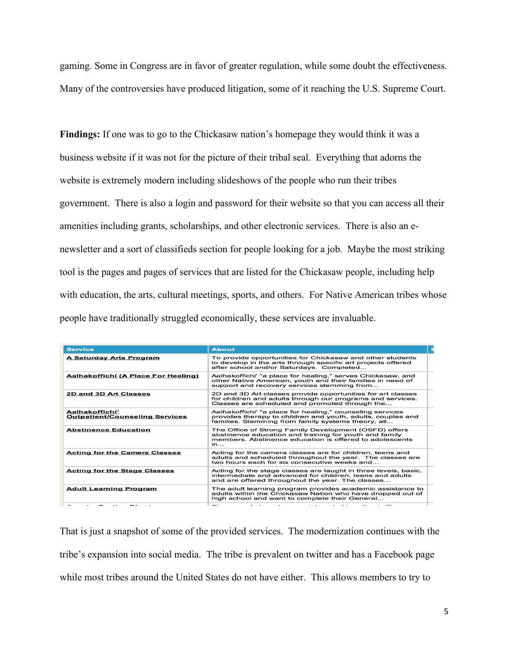gaming. Some in Congress are in favor of greater regulation, while some doubt the effectiveness. Many of the controversies have produced litigation, some of it reaching the U.S. Supreme Court.

**Findings:** If one was to go to the Chickasaw nation's homepage they would think it was a business website if it was not for the picture of their tribal seal. Everything that adorns the website is extremely modern including slideshows of the people who run their tribes government. There is also a login and password for their website so that you can access all their amenities including grants, scholarships, and other electronic services. There is also an enewsletter and a sort of classifieds section for people looking for a job. Maybe the most striking tool is the pages and pages of services that are listed for the Chickasaw people, including help with education, the arts, cultural meetings, sports, and others. For Native American tribes whose people have traditionally struggled economically, these services are invaluable.

| <b>Service</b>                                          | <b>About</b>                                                                                                                                                                     | s |
|---------------------------------------------------------|----------------------------------------------------------------------------------------------------------------------------------------------------------------------------------|---|
| <b>A Saturday Arts Program</b>                          | To provide opportunities for Chickasaw and other students<br>to develop in the arts through specific art projects offered<br>after school and/or Saturdays. Completed            |   |
| Aalhakoffichí (A Place For Healing)                     | Aalhakoffichi' "a place for healing," serves Chickasaw, and<br>other Native American, youth and their families in need of<br>support and recovery services stemming from         |   |
| 2D and 3D Art Classes                                   | 2D and 3D Art classes provide opportunities for art classes<br>for children and adults through our programs and services.<br>Classes are scheduled and promoted through the      |   |
| Aalhakoffichi'<br><b>Outpatient/Counseling Services</b> | Aalhakoffichi' "a place for healing," counseling services<br>provides therapy to children and youth, adults, couples and<br>families. Stemming from family systems theory, all   |   |
| <b>Abstinence Education</b>                             | The Office of Strong Family Development (OSFD) offers<br>abstinence education and training for youth and family<br>members. Abstinence education is offered to adolescents<br>in |   |
| <b>Acting for the Camera Classes</b>                    | Acting for the camera classes are for children, teens and<br>adults and scheduled throughout the year. The classes are<br>two hours each for six consecutive weeks and           |   |
| <b>Acting for the Stage Classes</b>                     | Acting for the stage classes are taught in three levels, basic,<br>intermediate and advanced for children, teens and adults<br>and are offered throughout the year. The classes  |   |
| <b>Adult Learning Program</b>                           | The adult learning program provides academic assistance to<br>adults within the Chickasaw Nation who have dropped out of<br>high school and want to complete their General       |   |
|                                                         | <b>--</b><br>$\sim$                                                                                                                                                              |   |

That is just a snapshot of some of the provided services. The modernization continues with the tribe's expansion into social media. The tribe is prevalent on twitter and has a Facebook page while most tribes around the United States do not have either. This allows members to try to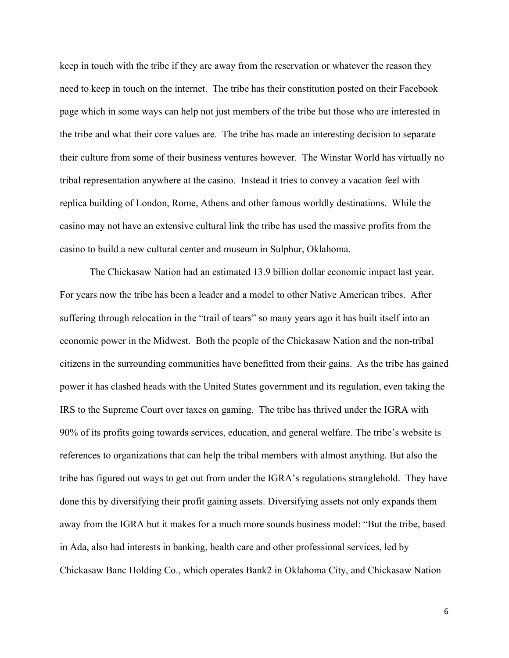keep in touch with the tribe if they are away from the reservation or whatever the reason they need to keep in touch on the internet. The tribe has their constitution posted on their Facebook page which in some ways can help not just members of the tribe but those who are interested in the tribe and what their core values are. The tribe has made an interesting decision to separate their culture from some of their business ventures however. The Winstar World has virtually no tribal representation anywhere at the casino. Instead it tries to convey a vacation feel with replica building of London, Rome, Athens and other famous worldly destinations. While the casino may not have an extensive cultural link the tribe has used the massive profits from the casino to build a new cultural center and museum in Sulphur, Oklahoma.

The Chickasaw Nation had an estimated 13.9 billion dollar economic impact last year. For years now the tribe has been a leader and a model to other Native American tribes. After suffering through relocation in the "trail of tears" so many years ago it has built itself into an economic power in the Midwest. Both the people of the Chickasaw Nation and the non-tribal citizens in the surrounding communities have benefitted from their gains. As the tribe has gained power it has clashed heads with the United States government and its regulation, even taking the IRS to the Supreme Court over taxes on gaming. The tribe has thrived under the IGRA with 90% of its profits going towards services, education, and general welfare. The tribe's website is references to organizations that can help the tribal members with almost anything. But also the tribe has figured out ways to get out from under the IGRA's regulations stranglehold. They have done this by diversifying their profit gaining assets. Diversifying assets not only expands them away from the IGRA but it makes for a much more sounds business model: "But the tribe, based in Ada, also had interests in banking, health care and other professional services, led by Chickasaw Banc Holding Co., which operates Bank2 in Oklahoma City, and Chickasaw Nation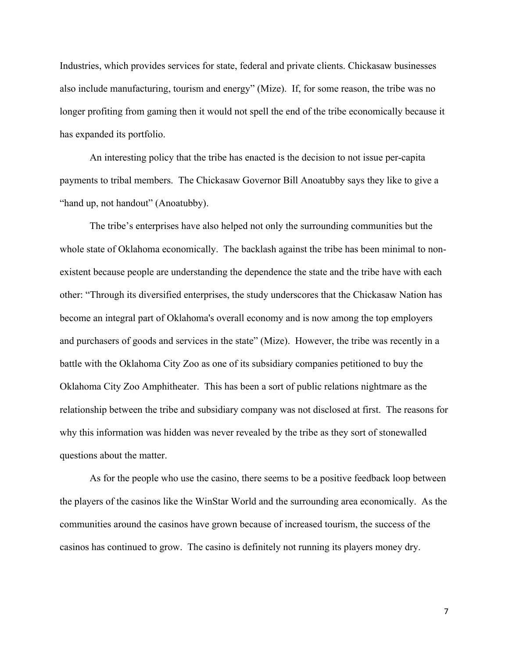Industries, which provides services for state, federal and private clients. Chickasaw businesses also include manufacturing, tourism and energy" (Mize). If, for some reason, the tribe was no longer profiting from gaming then it would not spell the end of the tribe economically because it has expanded its portfolio.

An interesting policy that the tribe has enacted is the decision to not issue per-capita payments to tribal members. The Chickasaw Governor Bill Anoatubby says they like to give a "hand up, not handout" (Anoatubby).

The tribe's enterprises have also helped not only the surrounding communities but the whole state of Oklahoma economically. The backlash against the tribe has been minimal to nonexistent because people are understanding the dependence the state and the tribe have with each other: "Through its diversified enterprises, the study underscores that the Chickasaw Nation has become an integral part of Oklahoma's overall economy and is now among the top employers and purchasers of goods and services in the state" (Mize). However, the tribe was recently in a battle with the Oklahoma City Zoo as one of its subsidiary companies petitioned to buy the Oklahoma City Zoo Amphitheater. This has been a sort of public relations nightmare as the relationship between the tribe and subsidiary company was not disclosed at first. The reasons for why this information was hidden was never revealed by the tribe as they sort of stonewalled questions about the matter.

As for the people who use the casino, there seems to be a positive feedback loop between the players of the casinos like the WinStar World and the surrounding area economically. As the communities around the casinos have grown because of increased tourism, the success of the casinos has continued to grow. The casino is definitely not running its players money dry.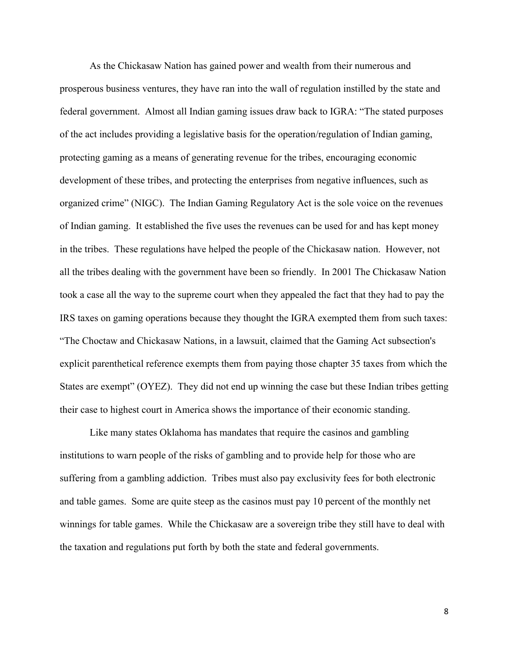As the Chickasaw Nation has gained power and wealth from their numerous and prosperous business ventures, they have ran into the wall of regulation instilled by the state and federal government. Almost all Indian gaming issues draw back to IGRA: "The stated purposes of the act includes providing a legislative basis for the operation/regulation of Indian gaming, protecting gaming as a means of generating revenue for the tribes, encouraging economic development of these tribes, and protecting the enterprises from negative influences, such as organized crime" (NIGC). The Indian Gaming Regulatory Act is the sole voice on the revenues of Indian gaming. It established the five uses the revenues can be used for and has kept money in the tribes. These regulations have helped the people of the Chickasaw nation. However, not all the tribes dealing with the government have been so friendly. In 2001 The Chickasaw Nation took a case all the way to the supreme court when they appealed the fact that they had to pay the IRS taxes on gaming operations because they thought the IGRA exempted them from such taxes: "The Choctaw and Chickasaw Nations, in a lawsuit, claimed that the Gaming Act subsection's explicit parenthetical reference exempts them from paying those chapter 35 taxes from which the States are exempt" (OYEZ). They did not end up winning the case but these Indian tribes getting their case to highest court in America shows the importance of their economic standing.

Like many states Oklahoma has mandates that require the casinos and gambling institutions to warn people of the risks of gambling and to provide help for those who are suffering from a gambling addiction. Tribes must also pay exclusivity fees for both electronic and table games. Some are quite steep as the casinos must pay 10 percent of the monthly net winnings for table games. While the Chickasaw are a sovereign tribe they still have to deal with the taxation and regulations put forth by both the state and federal governments.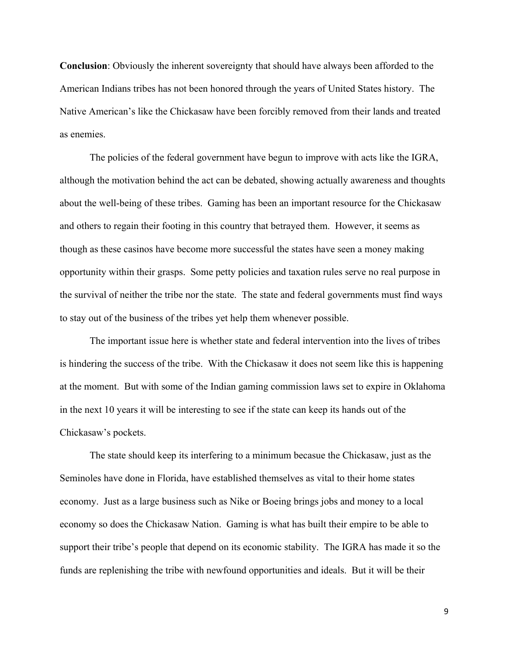**Conclusion**: Obviously the inherent sovereignty that should have always been afforded to the American Indians tribes has not been honored through the years of United States history. The Native American's like the Chickasaw have been forcibly removed from their lands and treated as enemies.

The policies of the federal government have begun to improve with acts like the IGRA, although the motivation behind the act can be debated, showing actually awareness and thoughts about the well-being of these tribes. Gaming has been an important resource for the Chickasaw and others to regain their footing in this country that betrayed them. However, it seems as though as these casinos have become more successful the states have seen a money making opportunity within their grasps. Some petty policies and taxation rules serve no real purpose in the survival of neither the tribe nor the state. The state and federal governments must find ways to stay out of the business of the tribes yet help them whenever possible.

The important issue here is whether state and federal intervention into the lives of tribes is hindering the success of the tribe. With the Chickasaw it does not seem like this is happening at the moment. But with some of the Indian gaming commission laws set to expire in Oklahoma in the next 10 years it will be interesting to see if the state can keep its hands out of the Chickasaw's pockets.

The state should keep its interfering to a minimum becasue the Chickasaw, just as the Seminoles have done in Florida, have established themselves as vital to their home states economy. Just as a large business such as Nike or Boeing brings jobs and money to a local economy so does the Chickasaw Nation. Gaming is what has built their empire to be able to support their tribe's people that depend on its economic stability. The IGRA has made it so the funds are replenishing the tribe with newfound opportunities and ideals. But it will be their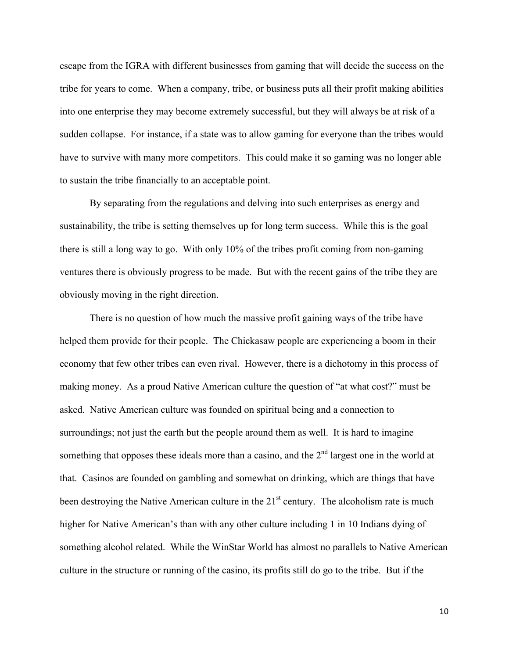escape from the IGRA with different businesses from gaming that will decide the success on the tribe for years to come. When a company, tribe, or business puts all their profit making abilities into one enterprise they may become extremely successful, but they will always be at risk of a sudden collapse. For instance, if a state was to allow gaming for everyone than the tribes would have to survive with many more competitors. This could make it so gaming was no longer able to sustain the tribe financially to an acceptable point.

By separating from the regulations and delving into such enterprises as energy and sustainability, the tribe is setting themselves up for long term success. While this is the goal there is still a long way to go. With only 10% of the tribes profit coming from non-gaming ventures there is obviously progress to be made. But with the recent gains of the tribe they are obviously moving in the right direction.

There is no question of how much the massive profit gaining ways of the tribe have helped them provide for their people. The Chickasaw people are experiencing a boom in their economy that few other tribes can even rival. However, there is a dichotomy in this process of making money. As a proud Native American culture the question of "at what cost?" must be asked. Native American culture was founded on spiritual being and a connection to surroundings; not just the earth but the people around them as well. It is hard to imagine something that opposes these ideals more than a casino, and the 2<sup>nd</sup> largest one in the world at that. Casinos are founded on gambling and somewhat on drinking, which are things that have been destroying the Native American culture in the  $21<sup>st</sup>$  century. The alcoholism rate is much higher for Native American's than with any other culture including 1 in 10 Indians dying of something alcohol related. While the WinStar World has almost no parallels to Native American culture in the structure or running of the casino, its profits still do go to the tribe. But if the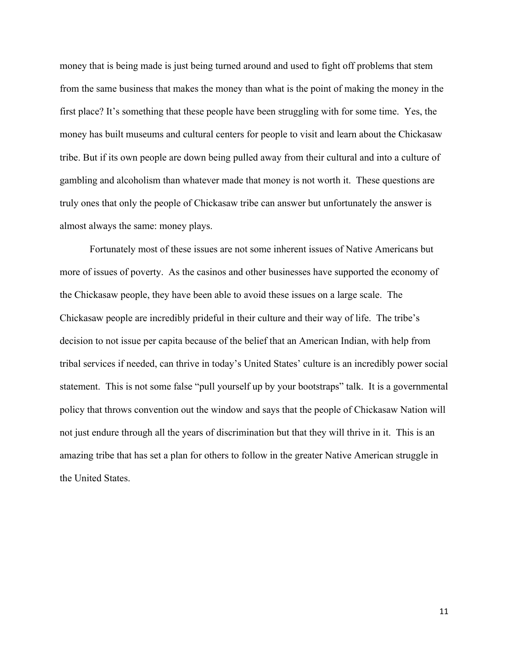money that is being made is just being turned around and used to fight off problems that stem from the same business that makes the money than what is the point of making the money in the first place? It's something that these people have been struggling with for some time. Yes, the money has built museums and cultural centers for people to visit and learn about the Chickasaw tribe. But if its own people are down being pulled away from their cultural and into a culture of gambling and alcoholism than whatever made that money is not worth it. These questions are truly ones that only the people of Chickasaw tribe can answer but unfortunately the answer is almost always the same: money plays.

Fortunately most of these issues are not some inherent issues of Native Americans but more of issues of poverty. As the casinos and other businesses have supported the economy of the Chickasaw people, they have been able to avoid these issues on a large scale. The Chickasaw people are incredibly prideful in their culture and their way of life. The tribe's decision to not issue per capita because of the belief that an American Indian, with help from tribal services if needed, can thrive in today's United States' culture is an incredibly power social statement. This is not some false "pull yourself up by your bootstraps" talk. It is a governmental policy that throws convention out the window and says that the people of Chickasaw Nation will not just endure through all the years of discrimination but that they will thrive in it. This is an amazing tribe that has set a plan for others to follow in the greater Native American struggle in the United States.